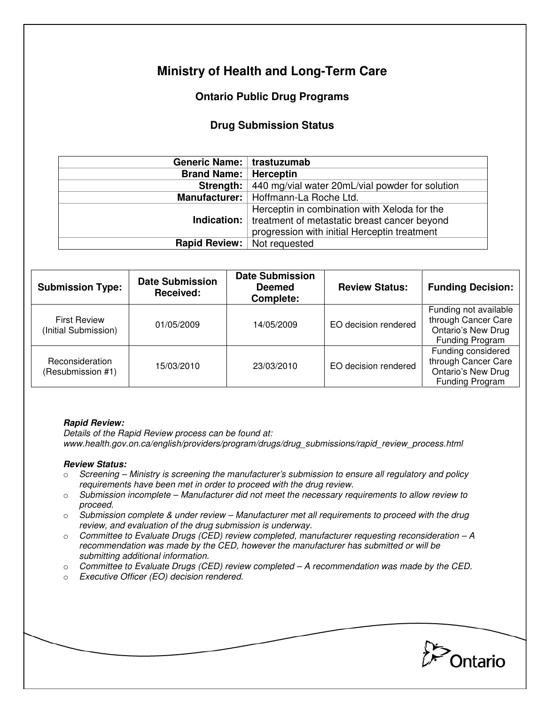# **Ministry of Health and Long-Term Care**

## **Ontario Public Drug Programs**

### **Drug Submission Status**

| Generic Name:   trastuzumab        |                                                                   |  |  |
|------------------------------------|-------------------------------------------------------------------|--|--|
| <b>Brand Name:   Herceptin</b>     |                                                                   |  |  |
|                                    | <b>Strength:</b> 440 mg/vial water 20mL/vial powder for solution  |  |  |
|                                    | Manufacturer:   Hoffmann-La Roche Ltd.                            |  |  |
|                                    | Herceptin in combination with Xeloda for the                      |  |  |
|                                    | <b>Indication:</b>   treatment of metastatic breast cancer beyond |  |  |
|                                    | progression with initial Herceptin treatment                      |  |  |
| <b>Rapid Review:</b> Not requested |                                                                   |  |  |

| <b>Submission Type:</b>                     | <b>Date Submission</b><br>Received: | <b>Date Submission</b><br><b>Deemed</b><br>Complete: | <b>Review Status:</b> | <b>Funding Decision:</b>                                                                            |
|---------------------------------------------|-------------------------------------|------------------------------------------------------|-----------------------|-----------------------------------------------------------------------------------------------------|
| <b>First Review</b><br>(Initial Submission) | 01/05/2009                          | 14/05/2009                                           | EO decision rendered  | Funding not available<br>through Cancer Care<br><b>Ontario's New Drug</b><br><b>Funding Program</b> |
| Reconsideration<br>(Resubmission #1)        | 15/03/2010                          | 23/03/2010                                           | EO decision rendered  | Funding considered<br>through Cancer Care<br><b>Ontario's New Drug</b><br>Funding Program           |

#### **Rapid Review:**

Details of the Rapid Review process can be found at: www.health.gov.on.ca/english/providers/program/drugs/drug\_submissions/rapid\_review\_process.html

#### **Review Status:**

- $\circ$  Screening Ministry is screening the manufacturer's submission to ensure all regulatory and policy requirements have been met in order to proceed with the drug review.
- $\circ$  Submission incomplete Manufacturer did not meet the necessary requirements to allow review to proceed.
- $\circ$  Submission complete & under review Manufacturer met all requirements to proceed with the drug review, and evaluation of the drug submission is underway.
- $\circ$  Committee to Evaluate Drugs (CED) review completed, manufacturer requesting reconsideration A recommendation was made by the CED, however the manufacturer has submitted or will be submitting additional information.
- $\circ$  Committee to Evaluate Drugs (CED) review completed  $-A$  recommendation was made by the CED.
- o Executive Officer (EO) decision rendered.